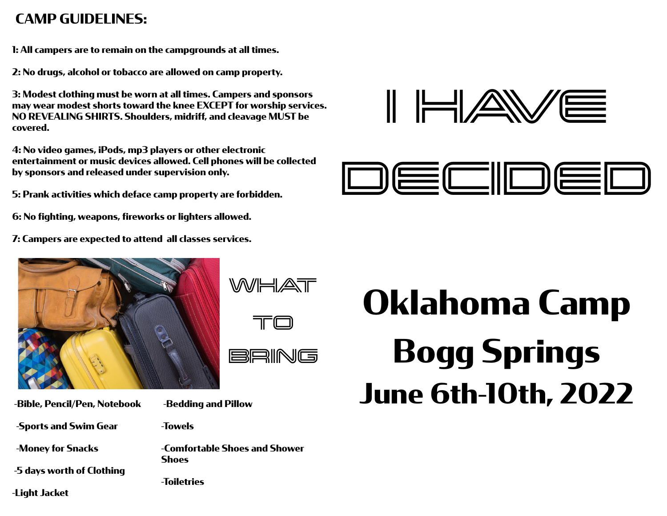## **CAMP GUIDELINES:**

**1: All campers are to remain on the campgrounds at all times.**

**2: No drugs, alcohol or tobacco are allowed on camp property.**

**3: Modest clothing must be worn at all times. Campers and sponsors may wear modest shorts toward the knee EXCEPT for worship services. NO REVEALING SHIRTS. Shoulders, midriff, and cleavage MUST be covered.**

**4: No video games, iPods, mp3 players or other electronic entertainment or music devices allowed. Cell phones will be collected by sponsors and released under supervision only.**

**5: Prank activities which deface camp property are forbidden.**

**6: No fighting, weapons, fireworks or lighters allowed.**

**7: Campers are expected to attend all classes services.**



 **-Bible, Pencil/Pen, Notebook -Sports and Swim Gear -Money for Snacks** 

 **-5 days worth of Clothing** 

**-Light Jacket**



WHAT

TO

**BRING** 

 **-Bedding and Pillow**

**-Towels** 

**-Comfortable Shoes and Shower Shoes**

**-Toiletries** 





# **Oklahoma Camp Bogg Springs June 6th-10th, 2022**